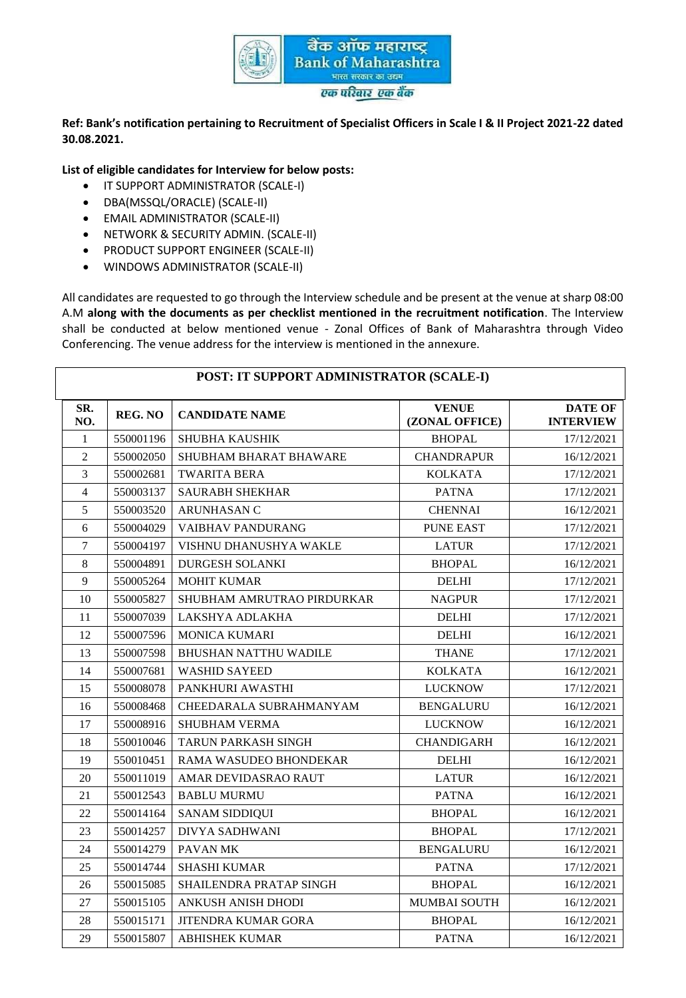

#### **Ref: Bank's notification pertaining to Recruitment of Specialist Officers in Scale I & II Project 2021-22 dated 30.08.2021.**

**List of eligible candidates for Interview for below posts:**

- **IT SUPPORT ADMINISTRATOR (SCALE-I)**
- DBA(MSSQL/ORACLE) (SCALE-II)
- EMAIL ADMINISTRATOR (SCALE-II)
- **NETWORK & SECURITY ADMIN. (SCALE-II)**
- **PRODUCT SUPPORT ENGINEER (SCALE-II)**
- WINDOWS ADMINISTRATOR (SCALE-II)

All candidates are requested to go through the Interview schedule and be present at the venue at sharp 08:00 A.M **along with the documents as per checklist mentioned in the recruitment notification**. The Interview shall be conducted at below mentioned venue - Zonal Offices of Bank of Maharashtra through Video Conferencing. The venue address for the interview is mentioned in the annexure.

|                |                | POST: IT SUPPORT ADMINISTRATOR (SCALE-I) |                                |                                    |
|----------------|----------------|------------------------------------------|--------------------------------|------------------------------------|
| SR.<br>NO.     | <b>REG. NO</b> | <b>CANDIDATE NAME</b>                    | <b>VENUE</b><br>(ZONAL OFFICE) | <b>DATE OF</b><br><b>INTERVIEW</b> |
| 1              | 550001196      | <b>SHUBHA KAUSHIK</b>                    | <b>BHOPAL</b>                  | 17/12/2021                         |
| $\overline{2}$ | 550002050      | SHUBHAM BHARAT BHAWARE                   | <b>CHANDRAPUR</b>              | 16/12/2021                         |
| $\overline{3}$ | 550002681      | <b>TWARITA BERA</b>                      | <b>KOLKATA</b>                 | 17/12/2021                         |
| $\overline{4}$ | 550003137      | <b>SAURABH SHEKHAR</b>                   | <b>PATNA</b>                   | 17/12/2021                         |
| 5              | 550003520      | <b>ARUNHASAN C</b>                       | <b>CHENNAI</b>                 | 16/12/2021                         |
| 6              | 550004029      | VAIBHAV PANDURANG                        | <b>PUNE EAST</b>               | 17/12/2021                         |
| $\overline{7}$ | 550004197      | VISHNU DHANUSHYA WAKLE                   | <b>LATUR</b>                   | 17/12/2021                         |
| $\,8\,$        | 550004891      | <b>DURGESH SOLANKI</b>                   | <b>BHOPAL</b>                  | 16/12/2021                         |
| 9              | 550005264      | <b>MOHIT KUMAR</b>                       | <b>DELHI</b>                   | 17/12/2021                         |
| 10             | 550005827      | SHUBHAM AMRUTRAO PIRDURKAR               | <b>NAGPUR</b>                  | 17/12/2021                         |
| 11             | 550007039      | LAKSHYA ADLAKHA                          | <b>DELHI</b>                   | 17/12/2021                         |
| 12             | 550007596      | <b>MONICA KUMARI</b>                     | <b>DELHI</b>                   | 16/12/2021                         |
| 13             | 550007598      | <b>BHUSHAN NATTHU WADILE</b>             | <b>THANE</b>                   | 17/12/2021                         |
| 14             | 550007681      | <b>WASHID SAYEED</b>                     | <b>KOLKATA</b>                 | 16/12/2021                         |
| 15             | 550008078      | PANKHURI AWASTHI                         | <b>LUCKNOW</b>                 | 17/12/2021                         |
| 16             | 550008468      | CHEEDARALA SUBRAHMANYAM                  | <b>BENGALURU</b>               | 16/12/2021                         |
| 17             | 550008916      | <b>SHUBHAM VERMA</b>                     | <b>LUCKNOW</b>                 | 16/12/2021                         |
| 18             | 550010046      | <b>TARUN PARKASH SINGH</b>               | <b>CHANDIGARH</b>              | 16/12/2021                         |
| 19             | 550010451      | RAMA WASUDEO BHONDEKAR                   | <b>DELHI</b>                   | 16/12/2021                         |
| 20             | 550011019      | AMAR DEVIDASRAO RAUT                     | <b>LATUR</b>                   | 16/12/2021                         |
| 21             | 550012543      | <b>BABLU MURMU</b>                       | <b>PATNA</b>                   | 16/12/2021                         |
| 22             | 550014164      | <b>SANAM SIDDIQUI</b>                    | <b>BHOPAL</b>                  | 16/12/2021                         |
| 23             | 550014257      | <b>DIVYA SADHWANI</b>                    | <b>BHOPAL</b>                  | 17/12/2021                         |
| 24             | 550014279      | PAVAN MK                                 | <b>BENGALURU</b>               | 16/12/2021                         |
| 25             | 550014744      | <b>SHASHI KUMAR</b>                      | <b>PATNA</b>                   | 17/12/2021                         |
| 26             | 550015085      | SHAILENDRA PRATAP SINGH                  | <b>BHOPAL</b>                  | 16/12/2021                         |
| 27             | 550015105      | ANKUSH ANISH DHODI                       | MUMBAI SOUTH                   | 16/12/2021                         |
| 28             | 550015171      | <b>JITENDRA KUMAR GORA</b>               | <b>BHOPAL</b>                  | 16/12/2021                         |
| 29             | 550015807      | <b>ABHISHEK KUMAR</b>                    | <b>PATNA</b>                   | 16/12/2021                         |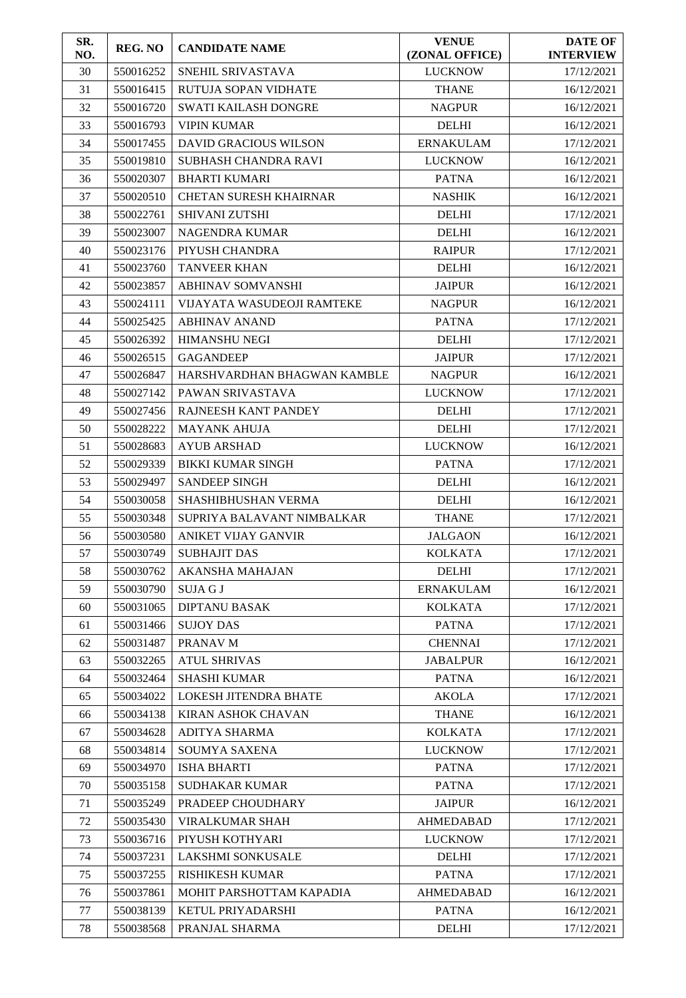| SR.<br>NO. | <b>REG. NO</b> | <b>CANDIDATE NAME</b>             | <b>VENUE</b><br>(ZONAL OFFICE) | <b>DATE OF</b><br><b>INTERVIEW</b> |
|------------|----------------|-----------------------------------|--------------------------------|------------------------------------|
| 30         | 550016252      | SNEHIL SRIVASTAVA                 | <b>LUCKNOW</b>                 | 17/12/2021                         |
| 31         | 550016415      | RUTUJA SOPAN VIDHATE              | <b>THANE</b>                   | 16/12/2021                         |
| 32         | 550016720      | <b>SWATI KAILASH DONGRE</b>       | <b>NAGPUR</b>                  | 16/12/2021                         |
| 33         | 550016793      | <b>VIPIN KUMAR</b>                | <b>DELHI</b>                   | 16/12/2021                         |
| 34         | 550017455      | <b>DAVID GRACIOUS WILSON</b>      | <b>ERNAKULAM</b>               | 17/12/2021                         |
| 35         | 550019810      | SUBHASH CHANDRA RAVI              | <b>LUCKNOW</b>                 | 16/12/2021                         |
| 36         | 550020307      | <b>BHARTI KUMARI</b>              | <b>PATNA</b>                   | 16/12/2021                         |
| 37         | 550020510      | <b>CHETAN SURESH KHAIRNAR</b>     | <b>NASHIK</b>                  | 16/12/2021                         |
| 38         | 550022761      | <b>SHIVANI ZUTSHI</b>             | <b>DELHI</b>                   | 17/12/2021                         |
| 39         | 550023007      | <b>NAGENDRA KUMAR</b>             | <b>DELHI</b>                   | 16/12/2021                         |
| 40         | 550023176      | PIYUSH CHANDRA                    | <b>RAIPUR</b>                  | 17/12/2021                         |
| 41         | 550023760      | <b>TANVEER KHAN</b>               | <b>DELHI</b>                   | 16/12/2021                         |
| 42         | 550023857      | <b>ABHINAV SOMVANSHI</b>          | <b>JAIPUR</b>                  | 16/12/2021                         |
| 43         | 550024111      | <b>VIJAYATA WASUDEOJI RAMTEKE</b> | <b>NAGPUR</b>                  | 16/12/2021                         |
| 44         | 550025425      | <b>ABHINAV ANAND</b>              | <b>PATNA</b>                   | 17/12/2021                         |
| 45         | 550026392      | <b>HIMANSHU NEGI</b>              | <b>DELHI</b>                   | 17/12/2021                         |
| 46         | 550026515      | <b>GAGANDEEP</b>                  | <b>JAIPUR</b>                  | 17/12/2021                         |
| 47         | 550026847      | HARSHVARDHAN BHAGWAN KAMBLE       | <b>NAGPUR</b>                  | 16/12/2021                         |
| 48         | 550027142      | PAWAN SRIVASTAVA                  | <b>LUCKNOW</b>                 | 17/12/2021                         |
| 49         | 550027456      | RAJNEESH KANT PANDEY              | <b>DELHI</b>                   | 17/12/2021                         |
| 50         | 550028222      | <b>MAYANK AHUJA</b>               | <b>DELHI</b>                   | 17/12/2021                         |
| 51         | 550028683      | <b>AYUB ARSHAD</b>                | <b>LUCKNOW</b>                 | 16/12/2021                         |
| 52         | 550029339      | <b>BIKKI KUMAR SINGH</b>          | <b>PATNA</b>                   | 17/12/2021                         |
| 53         | 550029497      | <b>SANDEEP SINGH</b>              | <b>DELHI</b>                   | 16/12/2021                         |
| 54         | 550030058      | SHASHIBHUSHAN VERMA               | <b>DELHI</b>                   | 16/12/2021                         |
| 55         | 550030348      | SUPRIYA BALAVANT NIMBALKAR        | <b>THANE</b>                   | 17/12/2021                         |
| 56         | 550030580      | ANIKET VIJAY GANVIR               | <b>JALGAON</b>                 | 16/12/2021                         |
| 57         | 550030749      | <b>SUBHAJIT DAS</b>               | <b>KOLKATA</b>                 | 17/12/2021                         |
| 58         | 550030762      | <b>AKANSHA MAHAJAN</b>            | <b>DELHI</b>                   | 17/12/2021                         |
| 59         | 550030790      | <b>SUJA G J</b>                   | <b>ERNAKULAM</b>               | 16/12/2021                         |
| 60         | 550031065      | <b>DIPTANU BASAK</b>              | <b>KOLKATA</b>                 | 17/12/2021                         |
| 61         | 550031466      | <b>SUJOY DAS</b>                  | <b>PATNA</b>                   | 17/12/2021                         |
| 62         | 550031487      | PRANAV M                          | <b>CHENNAI</b>                 | 17/12/2021                         |
| 63         | 550032265      | <b>ATUL SHRIVAS</b>               | <b>JABALPUR</b>                | 16/12/2021                         |
| 64         | 550032464      | <b>SHASHI KUMAR</b>               | <b>PATNA</b>                   | 16/12/2021                         |
| 65         | 550034022      | <b>LOKESH JITENDRA BHATE</b>      | <b>AKOLA</b>                   | 17/12/2021                         |
| 66         | 550034138      | <b>KIRAN ASHOK CHAVAN</b>         | <b>THANE</b>                   | 16/12/2021                         |
| 67         | 550034628      | ADITYA SHARMA                     | <b>KOLKATA</b>                 | 17/12/2021                         |
| 68         | 550034814      | SOUMYA SAXENA                     | <b>LUCKNOW</b>                 | 17/12/2021                         |
| 69         | 550034970      | <b>ISHA BHARTI</b>                | <b>PATNA</b>                   | 17/12/2021                         |
| 70         | 550035158      | <b>SUDHAKAR KUMAR</b>             | <b>PATNA</b>                   | 17/12/2021                         |
| 71         | 550035249      | PRADEEP CHOUDHARY                 | <b>JAIPUR</b>                  | 16/12/2021                         |
| 72         | 550035430      | VIRALKUMAR SHAH                   | <b>AHMEDABAD</b>               | 17/12/2021                         |
| 73         | 550036716      | PIYUSH KOTHYARI                   | <b>LUCKNOW</b>                 | 17/12/2021                         |
| 74         | 550037231      | <b>LAKSHMI SONKUSALE</b>          | <b>DELHI</b>                   | 17/12/2021                         |
| 75         | 550037255      | <b>RISHIKESH KUMAR</b>            | <b>PATNA</b>                   | 17/12/2021                         |
| 76         | 550037861      | MOHIT PARSHOTTAM KAPADIA          | <b>AHMEDABAD</b>               | 16/12/2021                         |
| 77         | 550038139      | KETUL PRIYADARSHI                 | <b>PATNA</b>                   | 16/12/2021                         |
| 78         | 550038568      | PRANJAL SHARMA                    | <b>DELHI</b>                   | 17/12/2021                         |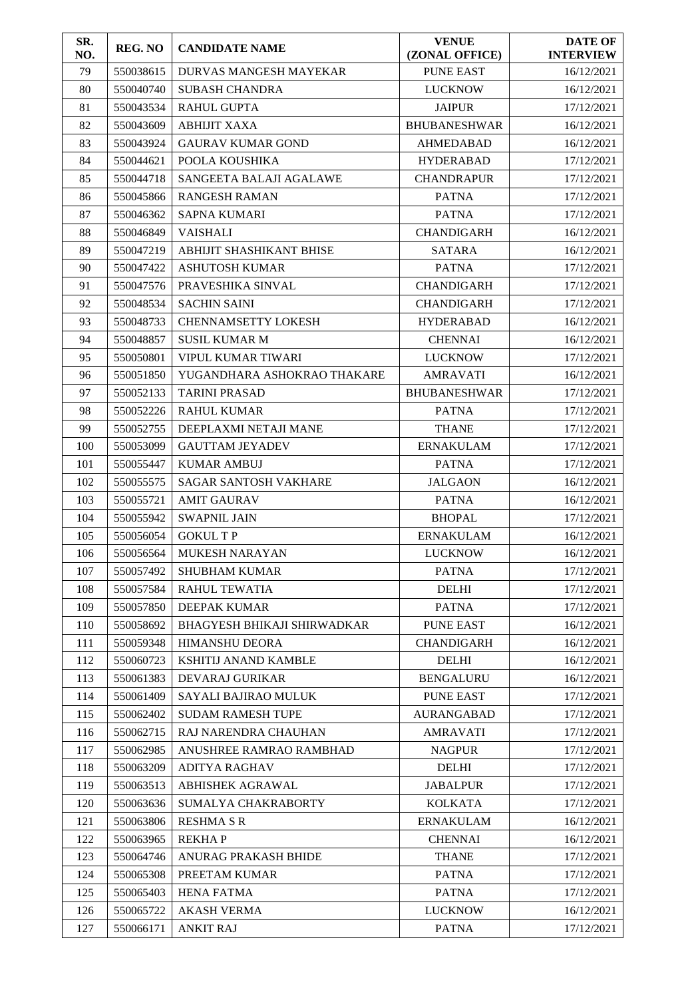| SR.<br>NO. | <b>REG. NO</b> | <b>CANDIDATE NAME</b>              | <b>VENUE</b><br>(ZONAL OFFICE) | <b>DATE OF</b><br><b>INTERVIEW</b> |
|------------|----------------|------------------------------------|--------------------------------|------------------------------------|
| 79         | 550038615      | <b>DURVAS MANGESH MAYEKAR</b>      | <b>PUNE EAST</b>               | 16/12/2021                         |
| 80         | 550040740      | <b>SUBASH CHANDRA</b>              | <b>LUCKNOW</b>                 | 16/12/2021                         |
| 81         | 550043534      | <b>RAHUL GUPTA</b>                 | <b>JAIPUR</b>                  | 17/12/2021                         |
| 82         | 550043609      | <b>ABHIJIT XAXA</b>                | <b>BHUBANESHWAR</b>            | 16/12/2021                         |
| 83         | 550043924      | <b>GAURAV KUMAR GOND</b>           | <b>AHMEDABAD</b>               | 16/12/2021                         |
| 84         | 550044621      | POOLA KOUSHIKA                     | <b>HYDERABAD</b>               | 17/12/2021                         |
| 85         | 550044718      | SANGEETA BALAJI AGALAWE            | <b>CHANDRAPUR</b>              | 17/12/2021                         |
| 86         | 550045866      | <b>RANGESH RAMAN</b>               | <b>PATNA</b>                   | 17/12/2021                         |
| 87         | 550046362      | <b>SAPNA KUMARI</b>                | <b>PATNA</b>                   | 17/12/2021                         |
| 88         | 550046849      | <b>VAISHALI</b>                    | <b>CHANDIGARH</b>              | 16/12/2021                         |
| 89         | 550047219      | ABHIJIT SHASHIKANT BHISE           | <b>SATARA</b>                  | 16/12/2021                         |
| 90         | 550047422      | <b>ASHUTOSH KUMAR</b>              | <b>PATNA</b>                   | 17/12/2021                         |
| 91         | 550047576      | PRAVESHIKA SINVAL                  | <b>CHANDIGARH</b>              | 17/12/2021                         |
| 92         | 550048534      | <b>SACHIN SAINI</b>                | <b>CHANDIGARH</b>              | 17/12/2021                         |
| 93         | 550048733      | <b>CHENNAMSETTY LOKESH</b>         | <b>HYDERABAD</b>               | 16/12/2021                         |
| 94         | 550048857      | <b>SUSIL KUMAR M</b>               | <b>CHENNAI</b>                 | 16/12/2021                         |
| 95         | 550050801      | <b>VIPUL KUMAR TIWARI</b>          | <b>LUCKNOW</b>                 | 17/12/2021                         |
| 96         | 550051850      | YUGANDHARA ASHOKRAO THAKARE        | <b>AMRAVATI</b>                | 16/12/2021                         |
| 97         | 550052133      | <b>TARINI PRASAD</b>               | <b>BHUBANESHWAR</b>            | 17/12/2021                         |
| 98         | 550052226      | <b>RAHUL KUMAR</b>                 | <b>PATNA</b>                   | 17/12/2021                         |
| 99         | 550052755      | DEEPLAXMI NETAJI MANE              | <b>THANE</b>                   | 17/12/2021                         |
| 100        | 550053099      | <b>GAUTTAM JEYADEV</b>             | <b>ERNAKULAM</b>               | 17/12/2021                         |
| 101        | 550055447      | <b>KUMAR AMBUJ</b>                 | <b>PATNA</b>                   | 17/12/2021                         |
| 102        | 550055575      | <b>SAGAR SANTOSH VAKHARE</b>       | <b>JALGAON</b>                 | 16/12/2021                         |
| 103        | 550055721      | <b>AMIT GAURAV</b>                 | <b>PATNA</b>                   | 16/12/2021                         |
| 104        | 550055942      | <b>SWAPNIL JAIN</b>                | <b>BHOPAL</b>                  | 17/12/2021                         |
| 105        | 550056054      | <b>GOKULTP</b>                     | <b>ERNAKULAM</b>               | 16/12/2021                         |
| 106        | 550056564      | MUKESH NARAYAN                     | <b>LUCKNOW</b>                 | 16/12/2021                         |
| 107        | 550057492      | <b>SHUBHAM KUMAR</b>               | <b>PATNA</b>                   | 17/12/2021                         |
| 108        | 550057584      | <b>RAHUL TEWATIA</b>               | <b>DELHI</b>                   | 17/12/2021                         |
| 109        | 550057850      | <b>DEEPAK KUMAR</b>                | <b>PATNA</b>                   | 17/12/2021                         |
| 110        | 550058692      | <b>BHAGYESH BHIKAJI SHIRWADKAR</b> | <b>PUNE EAST</b>               | 16/12/2021                         |
| 111        | 550059348      | <b>HIMANSHU DEORA</b>              | <b>CHANDIGARH</b>              | 16/12/2021                         |
| 112        | 550060723      | KSHITIJ ANAND KAMBLE               | <b>DELHI</b>                   | 16/12/2021                         |
| 113        | 550061383      | <b>DEVARAJ GURIKAR</b>             | <b>BENGALURU</b>               | 16/12/2021                         |
| 114        | 550061409      | SAYALI BAJIRAO MULUK               | <b>PUNE EAST</b>               | 17/12/2021                         |
| 115        | 550062402      | <b>SUDAM RAMESH TUPE</b>           | <b>AURANGABAD</b>              | 17/12/2021                         |
| 116        | 550062715      | <b>RAJ NARENDRA CHAUHAN</b>        | <b>AMRAVATI</b>                | 17/12/2021                         |
| 117        | 550062985      | ANUSHREE RAMRAO RAMBHAD            | <b>NAGPUR</b>                  | 17/12/2021                         |
| 118        | 550063209      | <b>ADITYA RAGHAV</b>               | <b>DELHI</b>                   | 17/12/2021                         |
| 119        | 550063513      | ABHISHEK AGRAWAL                   | <b>JABALPUR</b>                | 17/12/2021                         |
| 120        | 550063636      | SUMALYA CHAKRABORTY                | <b>KOLKATA</b>                 | 17/12/2021                         |
| 121        | 550063806      | <b>RESHMA S R</b>                  | <b>ERNAKULAM</b>               | 16/12/2021                         |
| 122        | 550063965      | <b>REKHAP</b>                      | <b>CHENNAI</b>                 | 16/12/2021                         |
| 123        | 550064746      | ANURAG PRAKASH BHIDE               | <b>THANE</b>                   | 17/12/2021                         |
| 124        | 550065308      | PREETAM KUMAR                      | <b>PATNA</b>                   | 17/12/2021                         |
| 125        | 550065403      | <b>HENA FATMA</b>                  | <b>PATNA</b>                   | 17/12/2021                         |
| 126        | 550065722      | <b>AKASH VERMA</b>                 | <b>LUCKNOW</b>                 | 16/12/2021                         |
| 127        | 550066171      | <b>ANKIT RAJ</b>                   | <b>PATNA</b>                   | 17/12/2021                         |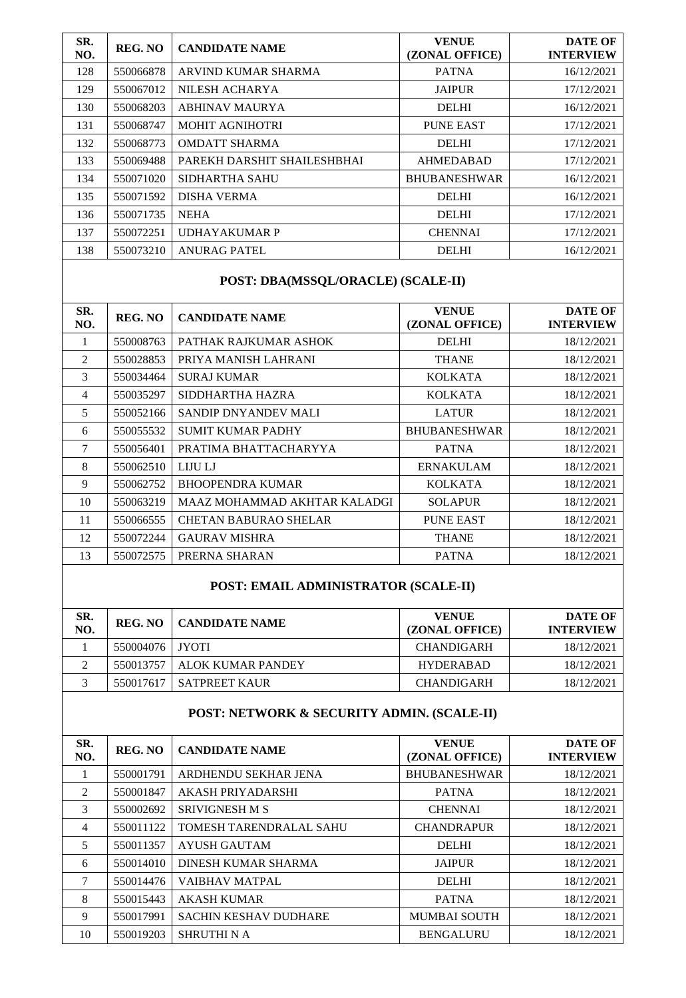| SR.<br>NO. | REG. NO   | <b>CANDIDATE NAME</b>       | <b>VENUE</b><br>(ZONAL OFFICE) | <b>DATE OF</b><br><b>INTERVIEW</b> |
|------------|-----------|-----------------------------|--------------------------------|------------------------------------|
| 128        | 550066878 | ARVIND KUMAR SHARMA         | <b>PATNA</b>                   | 16/12/2021                         |
| 129        | 550067012 | NILESH ACHARYA              | <b>JAIPUR</b>                  | 17/12/2021                         |
| 130        | 550068203 | <b>ABHINAV MAURYA</b>       | <b>DELHI</b>                   | 16/12/2021                         |
| 131        | 550068747 | <b>MOHIT AGNIHOTRI</b>      | <b>PUNE EAST</b>               | 17/12/2021                         |
| 132        | 550068773 | <b>OMDATT SHARMA</b>        | <b>DELHI</b>                   | 17/12/2021                         |
| 133        | 550069488 | PAREKH DARSHIT SHAILESHBHAI | <b>AHMEDABAD</b>               | 17/12/2021                         |
| 134        | 550071020 | <b>SIDHARTHA SAHU</b>       | <b>BHUBANESHWAR</b>            | 16/12/2021                         |
| 135        | 550071592 | <b>DISHA VERMA</b>          | <b>DELHI</b>                   | 16/12/2021                         |
| 136        | 550071735 | <b>NEHA</b>                 | <b>DELHI</b>                   | 17/12/2021                         |
| 137        | 550072251 | <b>UDHAYAKUMAR P</b>        | <b>CHENNAI</b>                 | 17/12/2021                         |
| 138        | 550073210 | <b>ANURAG PATEL</b>         | <b>DELHI</b>                   | 16/12/2021                         |
|            |           |                             |                                |                                    |

## **POST: DBA(MSSQL/ORACLE) (SCALE-II)**

| SR.<br>NO. | REG. NO   | <b>CANDIDATE NAME</b>        | <b>VENUE</b><br>(ZONAL OFFICE) | <b>DATE OF</b><br><b>INTERVIEW</b> |
|------------|-----------|------------------------------|--------------------------------|------------------------------------|
| 1          | 550008763 | PATHAK RAJKUMAR ASHOK        | <b>DELHI</b>                   | 18/12/2021                         |
| 2          | 550028853 | PRIYA MANISH LAHRANI         | <b>THANE</b>                   | 18/12/2021                         |
| 3          | 550034464 | <b>SURAJ KUMAR</b>           | <b>KOLKATA</b>                 | 18/12/2021                         |
| 4          | 550035297 | SIDDHARTHA HAZRA             | <b>KOLKATA</b>                 | 18/12/2021                         |
| 5          | 550052166 | SANDIP DNYANDEV MALI         | <b>LATUR</b>                   | 18/12/2021                         |
| 6          | 550055532 | <b>SUMIT KUMAR PADHY</b>     | <b>BHUBANESHWAR</b>            | 18/12/2021                         |
| 7          | 550056401 | PRATIMA BHATTACHARYYA        | <b>PATNA</b>                   | 18/12/2021                         |
| 8          | 550062510 | LIJU LJ                      | <b>ERNAKULAM</b>               | 18/12/2021                         |
| 9          | 550062752 | <b>BHOOPENDRA KUMAR</b>      | <b>KOLKATA</b>                 | 18/12/2021                         |
| 10         | 550063219 | MAAZ MOHAMMAD AKHTAR KALADGI | <b>SOLAPUR</b>                 | 18/12/2021                         |
| 11         | 550066555 | <b>CHETAN BABURAO SHELAR</b> | PUNE EAST                      | 18/12/2021                         |
| 12         | 550072244 | <b>GAURAV MISHRA</b>         | <b>THANE</b>                   | 18/12/2021                         |
| 13         | 550072575 | PRERNA SHARAN                | <b>PATNA</b>                   | 18/12/2021                         |

## **POST: EMAIL ADMINISTRATOR (SCALE-II)**

| SR.<br>NO. | REG. NO         | CANDIDATE NAME    | <b>VENUE</b><br>(ZONAL OFFICE) | DATE OF<br><b>INTERVIEW</b> |
|------------|-----------------|-------------------|--------------------------------|-----------------------------|
|            | 550004076 JYOTI |                   | <b>CHANDIGARH</b>              | 18/12/2021                  |
| ◠          | 550013757       | ALOK KUMAR PANDEY | <b>HYDERABAD</b>               | 18/12/2021                  |
|            | 550017617       | I SATPREET KAUR   | <b>CHANDIGARH</b>              | 18/12/2021                  |

## **POST: NETWORK & SECURITY ADMIN. (SCALE-II)**

| SR.<br>NO. | <b>REG. NO</b> | <b>CANDIDATE NAME</b>          | <b>VENUE</b><br>(ZONAL OFFICE) | <b>DATE OF</b><br><b>INTERVIEW</b> |
|------------|----------------|--------------------------------|--------------------------------|------------------------------------|
|            | 550001791      | ARDHENDU SEKHAR JENA           | <b>BHUBANESHWAR</b>            | 18/12/2021                         |
| 2          | 550001847      | AKASH PRIYADARSHI              | <b>PATNA</b>                   | 18/12/2021                         |
| 3          | 550002692      | <b>SRIVIGNESH M S</b>          | <b>CHENNAI</b>                 | 18/12/2021                         |
| 4          | 550011122      | <b>TOMESH TARENDRALAL SAHU</b> | <b>CHANDRAPUR</b>              | 18/12/2021                         |
| 5          | 550011357      | <b>AYUSH GAUTAM</b>            | <b>DELHI</b>                   | 18/12/2021                         |
| 6          | 550014010      | <b>DINESH KUMAR SHARMA</b>     | <b>JAIPUR</b>                  | 18/12/2021                         |
| 7          | 550014476      | <b>VAIBHAV MATPAL</b>          | <b>DELHI</b>                   | 18/12/2021                         |
| 8          | 550015443      | <b>AKASH KUMAR</b>             | <b>PATNA</b>                   | 18/12/2021                         |
| 9          | 550017991      | <b>SACHIN KESHAV DUDHARE</b>   | <b>MUMBAI SOUTH</b>            | 18/12/2021                         |
| 10         | 550019203      | SHRUTHI N A                    | <b>BENGALURU</b>               | 18/12/2021                         |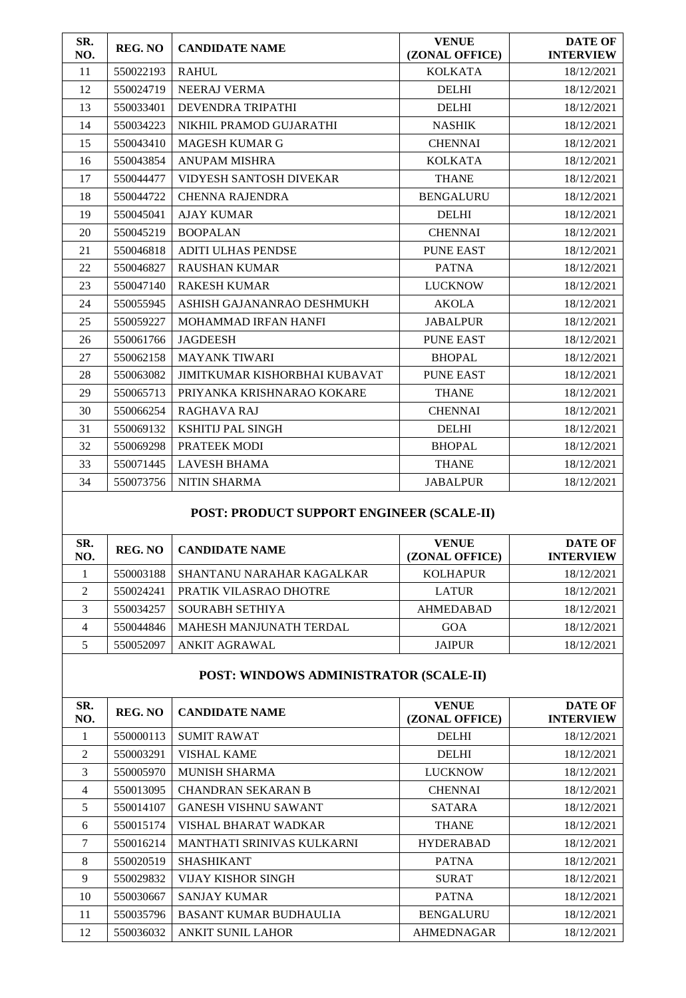| SR.<br>NO. | <b>REG. NO</b> | <b>CANDIDATE NAME</b>                | <b>VENUE</b><br>(ZONAL OFFICE) | <b>DATE OF</b><br><b>INTERVIEW</b> |
|------------|----------------|--------------------------------------|--------------------------------|------------------------------------|
| 11         | 550022193      | <b>RAHUL</b>                         | <b>KOLKATA</b>                 | 18/12/2021                         |
| 12         | 550024719      | <b>NEERAJ VERMA</b>                  | <b>DELHI</b>                   | 18/12/2021                         |
| 13         | 550033401      | <b>DEVENDRA TRIPATHI</b>             | <b>DELHI</b>                   | 18/12/2021                         |
| 14         | 550034223      | NIKHIL PRAMOD GUJARATHI              | <b>NASHIK</b>                  | 18/12/2021                         |
| 15         | 550043410      | <b>MAGESH KUMAR G</b>                | <b>CHENNAI</b>                 | 18/12/2021                         |
| 16         | 550043854      | <b>ANUPAM MISHRA</b>                 | <b>KOLKATA</b>                 | 18/12/2021                         |
| 17         | 550044477      | VIDYESH SANTOSH DIVEKAR              | <b>THANE</b>                   | 18/12/2021                         |
| 18         | 550044722      | <b>CHENNA RAJENDRA</b>               | <b>BENGALURU</b>               | 18/12/2021                         |
| 19         | 550045041      | <b>AJAY KUMAR</b>                    | <b>DELHI</b>                   | 18/12/2021                         |
| 20         | 550045219      | <b>BOOPALAN</b>                      | <b>CHENNAI</b>                 | 18/12/2021                         |
| 21         | 550046818      | <b>ADITI ULHAS PENDSE</b>            | <b>PUNE EAST</b>               | 18/12/2021                         |
| 22         | 550046827      | <b>RAUSHAN KUMAR</b>                 | <b>PATNA</b>                   | 18/12/2021                         |
| 23         | 550047140      | <b>RAKESH KUMAR</b>                  | <b>LUCKNOW</b>                 | 18/12/2021                         |
| 24         | 550055945      | ASHISH GAJANANRAO DESHMUKH           | <b>AKOLA</b>                   | 18/12/2021                         |
| 25         | 550059227      | <b>MOHAMMAD IRFAN HANFI</b>          | <b>JABALPUR</b>                | 18/12/2021                         |
| 26         | 550061766      | <b>JAGDEESH</b>                      | PUNE EAST                      | 18/12/2021                         |
| 27         | 550062158      | <b>MAYANK TIWARI</b>                 | <b>BHOPAL</b>                  | 18/12/2021                         |
| 28         | 550063082      | <b>JIMITKUMAR KISHORBHAI KUBAVAT</b> | <b>PUNE EAST</b>               | 18/12/2021                         |
| 29         | 550065713      | PRIYANKA KRISHNARAO KOKARE           | <b>THANE</b>                   | 18/12/2021                         |
| 30         | 550066254      | <b>RAGHAVA RAJ</b>                   | <b>CHENNAI</b>                 | 18/12/2021                         |
| 31         | 550069132      | <b>KSHITIJ PAL SINGH</b>             | <b>DELHI</b>                   | 18/12/2021                         |
| 32         | 550069298      | PRATEEK MODI                         | <b>BHOPAL</b>                  | 18/12/2021                         |
| 33         | 550071445      | <b>LAVESH BHAMA</b>                  | <b>THANE</b>                   | 18/12/2021                         |
| 34         | 550073756      | <b>NITIN SHARMA</b>                  | <b>JABALPUR</b>                | 18/12/2021                         |

# **POST: PRODUCT SUPPORT ENGINEER (SCALE-II)**

| SR.<br>NO.     | <b>REG. NO</b> | <b>CANDIDATE NAME</b>     | <b>VENUE</b><br>(ZONAL OFFICE) | <b>DATE OF</b><br><b>INTERVIEW</b> |
|----------------|----------------|---------------------------|--------------------------------|------------------------------------|
|                | 550003188      | SHANTANU NARAHAR KAGALKAR | <b>KOLHAPUR</b>                | 18/12/2021                         |
| $\mathfrak{D}$ | 550024241      | PRATIK VILASRAO DHOTRE    | <b>LATUR</b>                   | 18/12/2021                         |
| 3              | 550034257      | <b>SOURABH SETHIYA</b>    | <b>AHMEDABAD</b>               | 18/12/2021                         |
| 4              | 550044846      | MAHESH MANJUNATH TERDAL   | GOA                            | 18/12/2021                         |
|                | 550052097      | ANKIT AGRAWAL             | <b>JAIPUR</b>                  | 18/12/2021                         |

#### **POST: WINDOWS ADMINISTRATOR (SCALE-II)**

| SR.<br>NO. | REG. NO   | <b>CANDIDATE NAME</b>         | <b>VENUE</b><br>(ZONAL OFFICE) | <b>DATE OF</b><br><b>INTERVIEW</b> |
|------------|-----------|-------------------------------|--------------------------------|------------------------------------|
|            | 550000113 | <b>SUMIT RAWAT</b>            | <b>DELHI</b>                   | 18/12/2021                         |
| 2          | 550003291 | VISHAL KAME                   | <b>DELHI</b>                   | 18/12/2021                         |
| 3          | 550005970 | <b>MUNISH SHARMA</b>          | <b>LUCKNOW</b>                 | 18/12/2021                         |
| 4          | 550013095 | <b>CHANDRAN SEKARAN B</b>     | <b>CHENNAI</b>                 | 18/12/2021                         |
| 5          | 550014107 | <b>GANESH VISHNU SAWANT</b>   | <b>SATARA</b>                  | 18/12/2021                         |
| 6          | 550015174 | VISHAL BHARAT WADKAR          | <b>THANE</b>                   | 18/12/2021                         |
| 7          | 550016214 | MANTHATI SRINIVAS KULKARNI    | <b>HYDERABAD</b>               | 18/12/2021                         |
| 8          | 550020519 | <b>SHASHIKANT</b>             | <b>PATNA</b>                   | 18/12/2021                         |
| 9          | 550029832 | VIJAY KISHOR SINGH            | <b>SURAT</b>                   | 18/12/2021                         |
| 10         | 550030667 | <b>SANJAY KUMAR</b>           | <b>PATNA</b>                   | 18/12/2021                         |
| 11         | 550035796 | <b>BASANT KUMAR BUDHAULIA</b> | <b>BENGALURU</b>               | 18/12/2021                         |
| 12         | 550036032 | <b>ANKIT SUNIL LAHOR</b>      | <b>AHMEDNAGAR</b>              | 18/12/2021                         |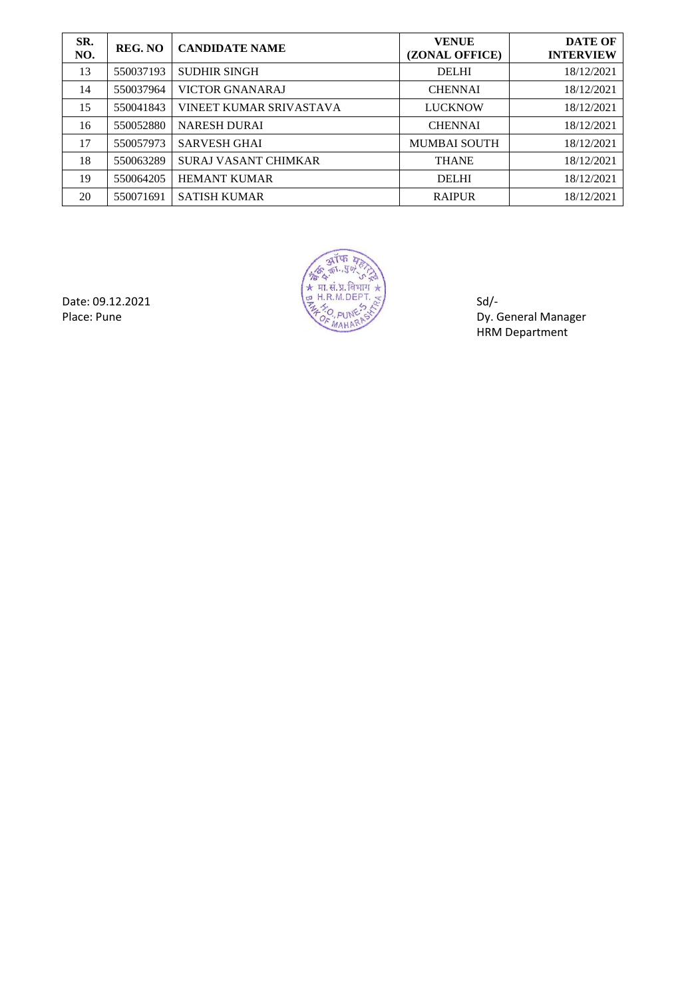| SR.<br>NO. | <b>REG. NO</b> | <b>CANDIDATE NAME</b>       | <b>VENUE</b><br>(ZONAL OFFICE) | <b>DATE OF</b><br><b>INTERVIEW</b> |
|------------|----------------|-----------------------------|--------------------------------|------------------------------------|
| 13         | 550037193      | <b>SUDHIR SINGH</b>         | <b>DELHI</b>                   | 18/12/2021                         |
| 14         | 550037964      | <b>VICTOR GNANARAJ</b>      | <b>CHENNAI</b>                 | 18/12/2021                         |
| 15         | 550041843      | VINEET KUMAR SRIVASTAVA     | <b>LUCKNOW</b>                 | 18/12/2021                         |
| 16         | 550052880      | <b>NARESH DURAI</b>         | <b>CHENNAI</b>                 | 18/12/2021                         |
| 17         | 550057973      | <b>SARVESH GHAI</b>         | <b>MUMBAI SOUTH</b>            | 18/12/2021                         |
| 18         | 550063289      | <b>SURAJ VASANT CHIMKAR</b> | <b>THANE</b>                   | 18/12/2021                         |
| 19         | 550064205      | <b>HEMANT KUMAR</b>         | <b>DELHI</b>                   | 18/12/2021                         |
| 20         | 550071691      | <b>SATISH KUMAR</b>         | <b>RAIPUR</b>                  | 18/12/2021                         |



Place: Pune Dy. General Manager HRM Department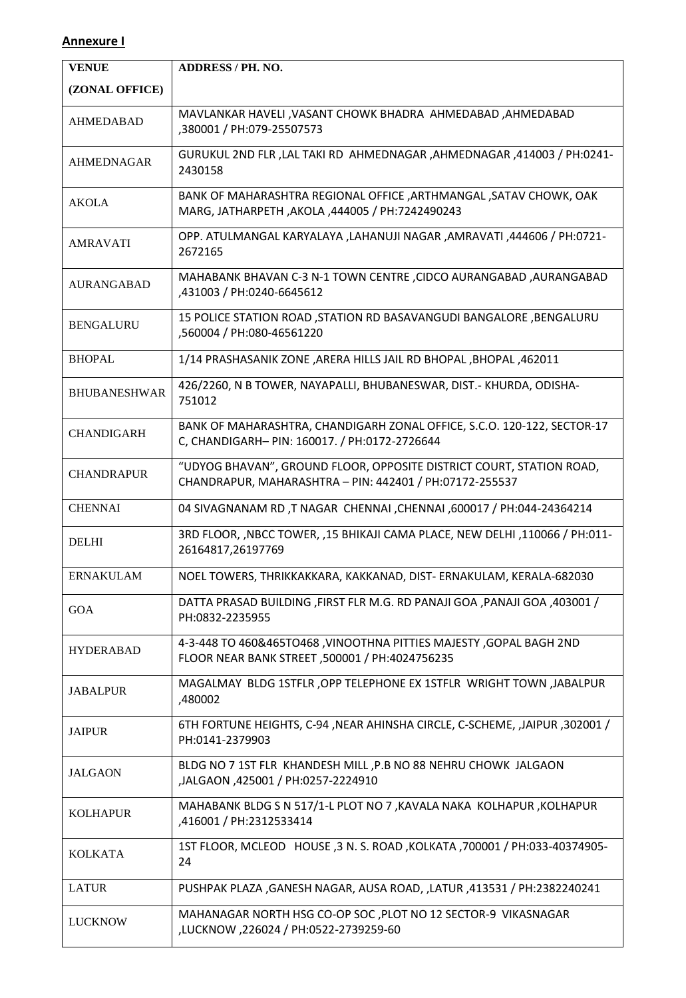### **Annexure I**

| <b>VENUE</b>        | <b>ADDRESS / PH. NO.</b>                                                                                                        |
|---------------------|---------------------------------------------------------------------------------------------------------------------------------|
| (ZONAL OFFICE)      |                                                                                                                                 |
| <b>AHMEDABAD</b>    | MAVLANKAR HAVELI , VASANT CHOWK BHADRA AHMEDABAD , AHMEDABAD<br>,380001 / PH:079-25507573                                       |
| <b>AHMEDNAGAR</b>   | GURUKUL 2ND FLR, LAL TAKI RD AHMEDNAGAR, AHMEDNAGAR, 414003 / PH:0241-<br>2430158                                               |
| <b>AKOLA</b>        | BANK OF MAHARASHTRA REGIONAL OFFICE , ARTHMANGAL , SATAV CHOWK, OAK<br>MARG, JATHARPETH, AKOLA, 444005 / PH:7242490243          |
| <b>AMRAVATI</b>     | OPP. ATULMANGAL KARYALAYA ,LAHANUJI NAGAR ,AMRAVATI ,444606 / PH:0721-<br>2672165                                               |
| <b>AURANGABAD</b>   | MAHABANK BHAVAN C-3 N-1 TOWN CENTRE , CIDCO AURANGABAD , AURANGABAD<br>,431003 / PH:0240-6645612                                |
| <b>BENGALURU</b>    | 15 POLICE STATION ROAD , STATION RD BASAVANGUDI BANGALORE , BENGALURU<br>,560004 / PH:080-46561220                              |
| <b>BHOPAL</b>       | 1/14 PRASHASANIK ZONE ,ARERA HILLS JAIL RD BHOPAL ,BHOPAL ,462011                                                               |
| <b>BHUBANESHWAR</b> | 426/2260, N B TOWER, NAYAPALLI, BHUBANESWAR, DIST.- KHURDA, ODISHA-<br>751012                                                   |
| <b>CHANDIGARH</b>   | BANK OF MAHARASHTRA, CHANDIGARH ZONAL OFFICE, S.C.O. 120-122, SECTOR-17<br>C, CHANDIGARH- PIN: 160017. / PH:0172-2726644        |
| <b>CHANDRAPUR</b>   | "UDYOG BHAVAN", GROUND FLOOR, OPPOSITE DISTRICT COURT, STATION ROAD,<br>CHANDRAPUR, MAHARASHTRA - PIN: 442401 / PH:07172-255537 |
| <b>CHENNAI</b>      | 04 SIVAGNANAM RD, T NAGAR CHENNAI, CHENNAI, 600017 / PH:044-24364214                                                            |
| <b>DELHI</b>        | 3RD FLOOR, , NBCC TOWER, , 15 BHIKAJI CAMA PLACE, NEW DELHI , 110066 / PH:011-<br>26164817,26197769                             |
| ERNAKULAM           | NOEL TOWERS, THRIKKAKKARA, KAKKANAD, DIST- ERNAKULAM, KERALA-682030                                                             |
| GOA                 | DATTA PRASAD BUILDING , FIRST FLR M.G. RD PANAJI GOA , PANAJI GOA , 403001 /<br>PH:0832-2235955                                 |
| <b>HYDERABAD</b>    | 4-3-448 TO 460&465TO468, VINOOTHNA PITTIES MAJESTY, GOPAL BAGH 2ND<br>FLOOR NEAR BANK STREET, 500001 / PH:4024756235            |
| <b>JABALPUR</b>     | MAGALMAY BLDG 1STFLR, OPP TELEPHONE EX 1STFLR WRIGHT TOWN, JABALPUR<br>,480002                                                  |
| <b>JAIPUR</b>       | 6TH FORTUNE HEIGHTS, C-94, NEAR AHINSHA CIRCLE, C-SCHEME, ,JAIPUR, 302001 /<br>PH:0141-2379903                                  |
| <b>JALGAON</b>      | BLDG NO 7 1ST FLR KHANDESH MILL, P.B NO 88 NEHRU CHOWK JALGAON<br>JALGAON, 425001 / PH:0257-2224910,                            |
| <b>KOLHAPUR</b>     | MAHABANK BLDG S N 517/1-L PLOT NO 7, KAVALA NAKA KOLHAPUR, KOLHAPUR<br>,416001 / PH:2312533414                                  |
| <b>KOLKATA</b>      | 1ST FLOOR, MCLEOD HOUSE, 3 N. S. ROAD, KOLKATA, 700001 / PH:033-40374905-<br>24                                                 |
| <b>LATUR</b>        | PUSHPAK PLAZA , GANESH NAGAR, AUSA ROAD, , LATUR , 413531 / PH:2382240241                                                       |
| <b>LUCKNOW</b>      | MAHANAGAR NORTH HSG CO-OP SOC, PLOT NO 12 SECTOR-9 VIKASNAGAR<br>,LUCKNOW,226024 / PH:0522-2739259-60                           |